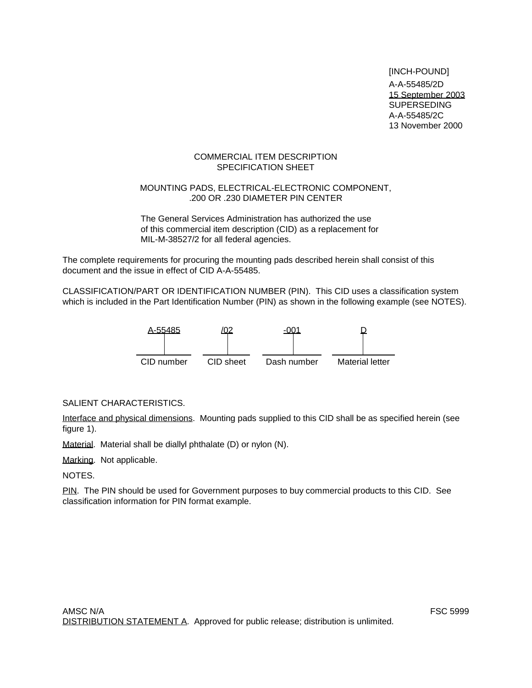[INCH-POUND] A-A-55485/2D 15 September 2003 SUPERSEDING A-A-55485/2C 13 November 2000

# COMMERCIAL ITEM DESCRIPTION SPECIFICATION SHEET

# MOUNTING PADS, ELECTRICAL-ELECTRONIC COMPONENT, .200 OR .230 DIAMETER PIN CENTER

The General Services Administration has authorized the use of this commercial item description (CID) as a replacement for MIL-M-38527/2 for all federal agencies.

The complete requirements for procuring the mounting pads described herein shall consist of this document and the issue in effect of CID A-A-55485.

CLASSIFICATION/PART OR IDENTIFICATION NUMBER (PIN). This CID uses a classification system which is included in the Part Identification Number (PIN) as shown in the following example (see NOTES).



# SALIENT CHARACTERISTICS.

Interface and physical dimensions. Mounting pads supplied to this CID shall be as specified herein (see figure 1).

Material. Material shall be diallyl phthalate (D) or nylon (N).

Marking. Not applicable.

NOTES.

PIN. The PIN should be used for Government purposes to buy commercial products to this CID. See classification information for PIN format example.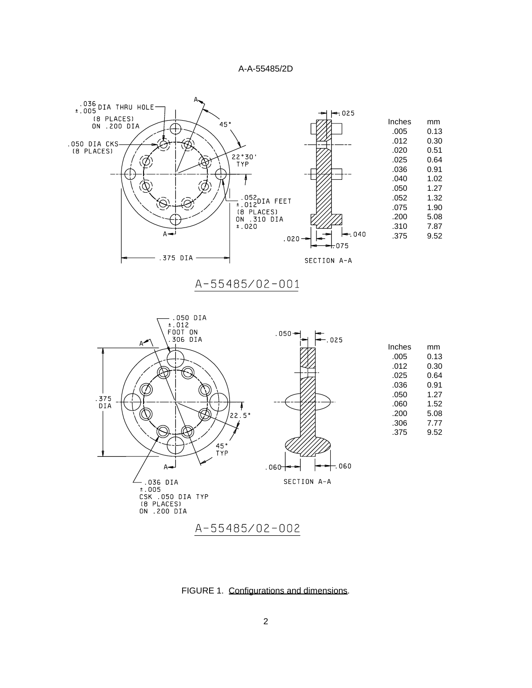



FIGURE 1. Configurations and dimensions.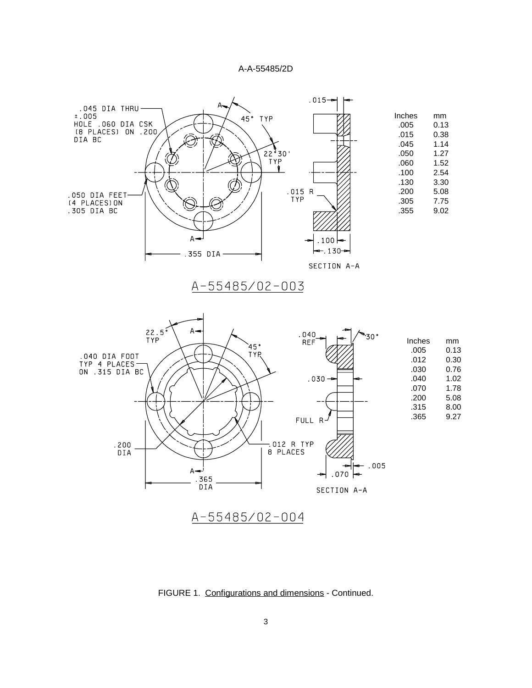

FIGURE 1. Configurations and dimensions - Continued.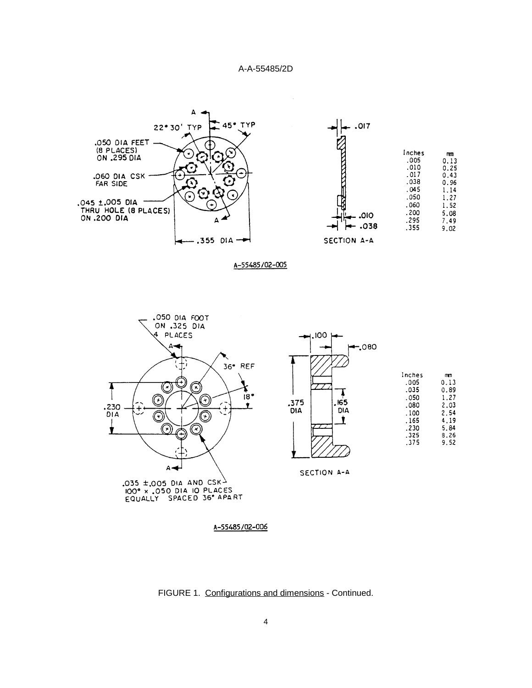

A-55485/02-005



FIGURE 1. Configurations and dimensions - Continued.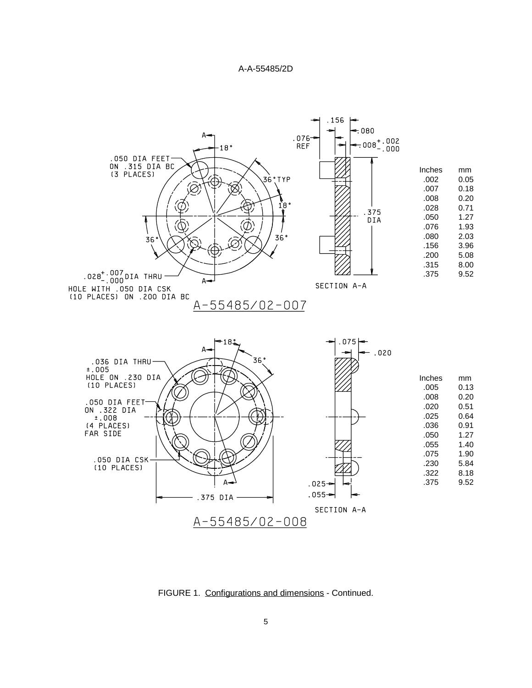

FIGURE 1. Configurations and dimensions - Continued.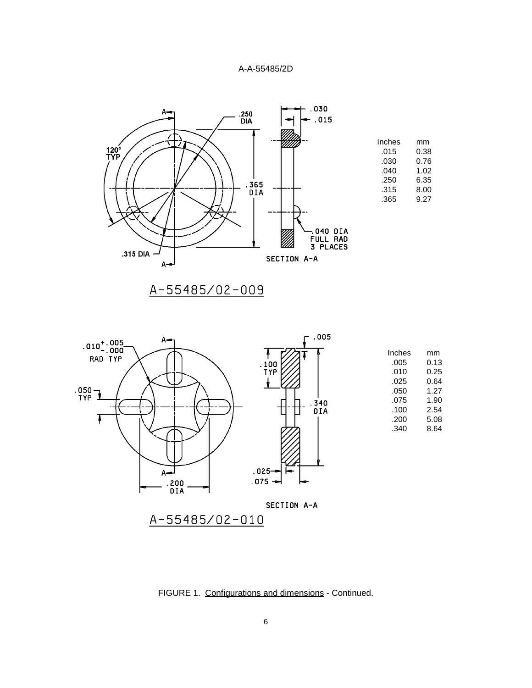

| Inches | mm   |
|--------|------|
| .015   | 0.38 |
| .030   | 0.76 |
| .040   | 1.02 |
| .250   | 6.35 |
| .315   | 8.00 |
| .365   | 9.27 |



| Inches | mm   |
|--------|------|
| .005   | 0.13 |
| .010   | 0.25 |
| .025   | 0.64 |
| .050   | 1.27 |
| .075   | 1.90 |
| .100   | 2.54 |
| .200   | 5.08 |
| .340   | 8.64 |

FIGURE 1. Configurations and dimensions - Continued.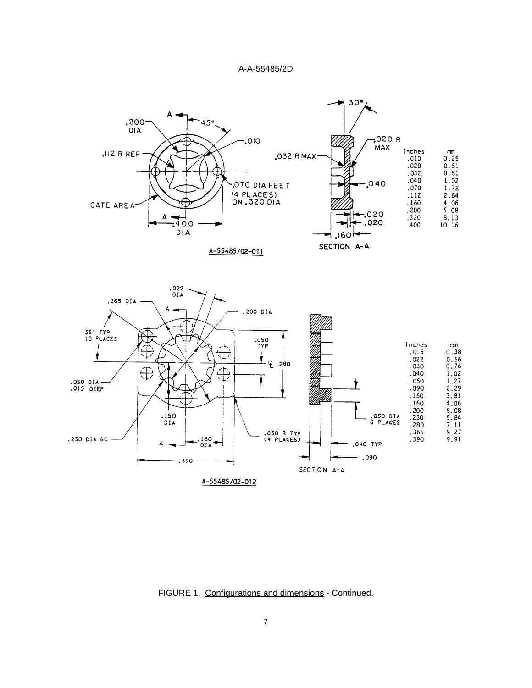

FIGURE 1. Configurations and dimensions - Continued.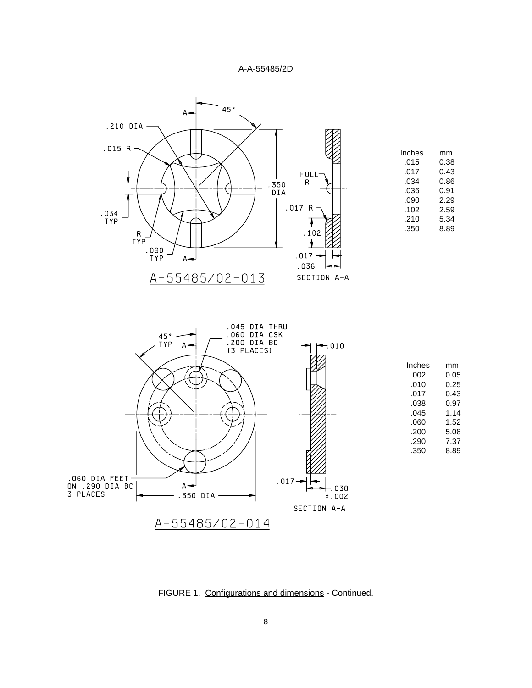



FIGURE 1. Configurations and dimensions - Continued.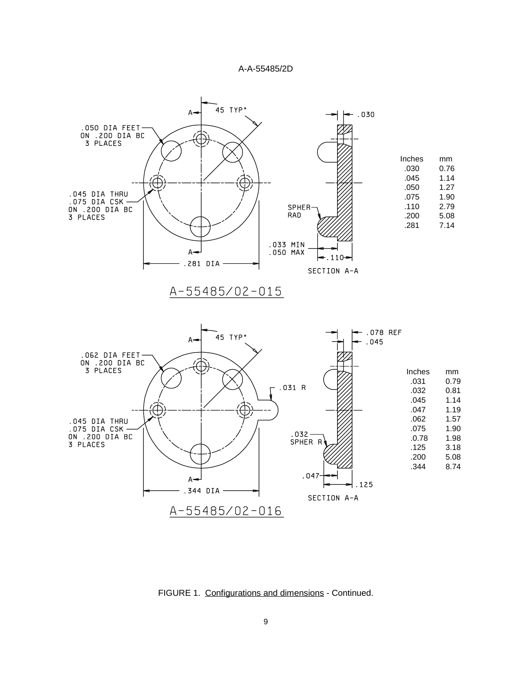



FIGURE 1. Configurations and dimensions - Continued.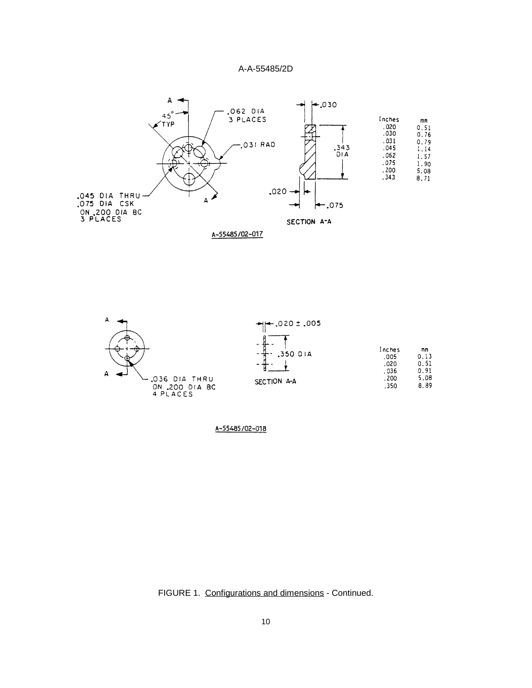



FIGURE 1. Configurations and dimensions - Continued.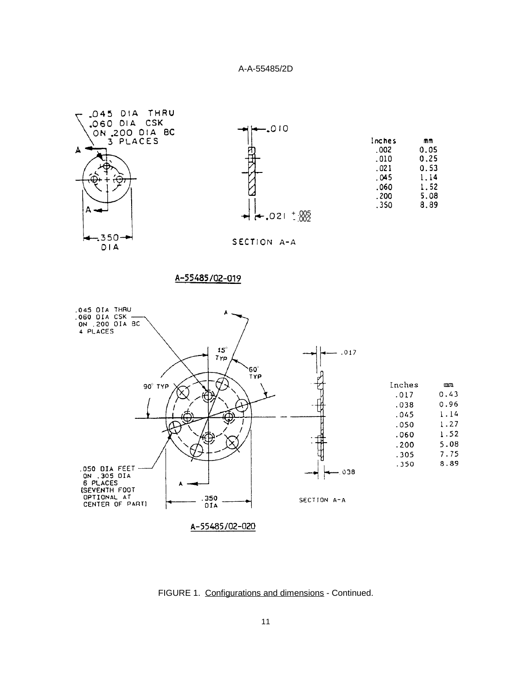

FIGURE 1. Configurations and dimensions - Continued.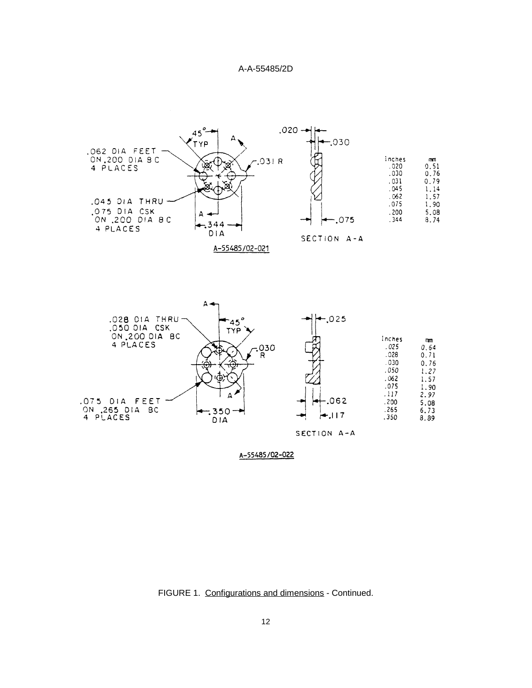



FIGURE 1. Configurations and dimensions - Continued.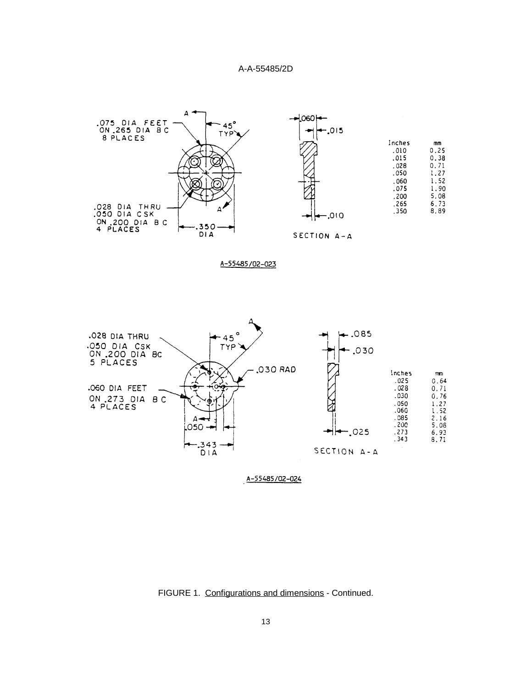

A-55485/02-023



FIGURE 1. Configurations and dimensions - Continued.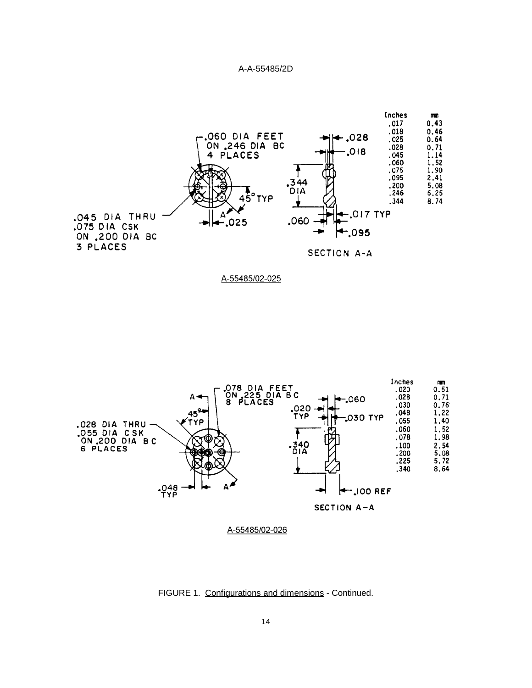



FIGURE 1. Configurations and dimensions - Continued.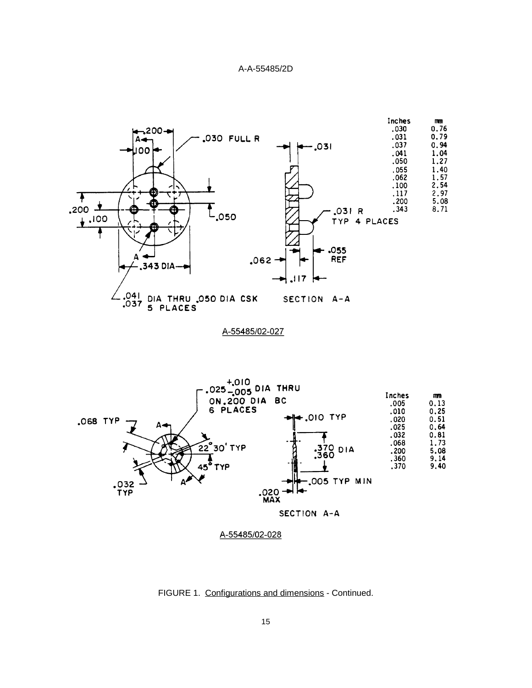



FIGURE 1. Configurations and dimensions - Continued.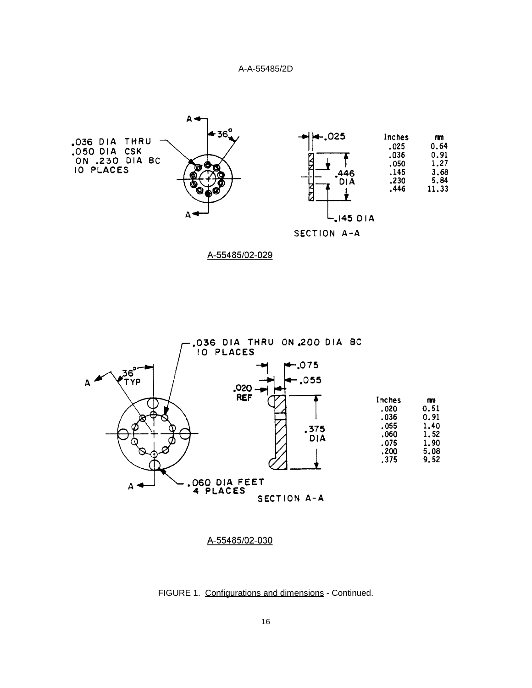



A-55485/02-029



FIGURE 1. Configurations and dimensions - Continued.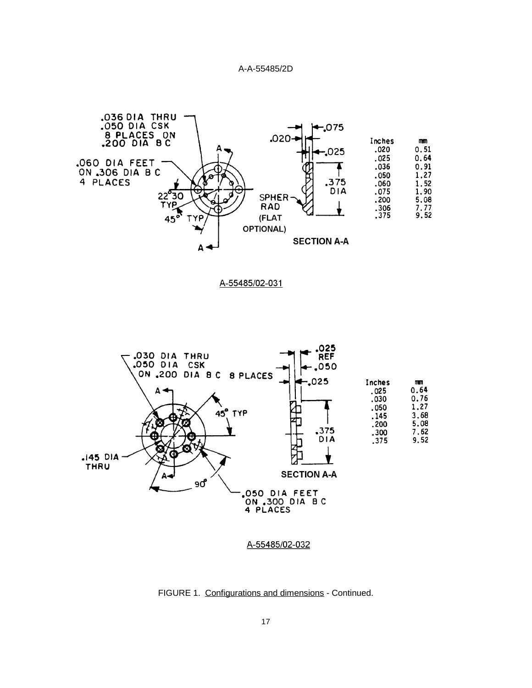

A-55485/02-031



FIGURE 1. Configurations and dimensions - Continued.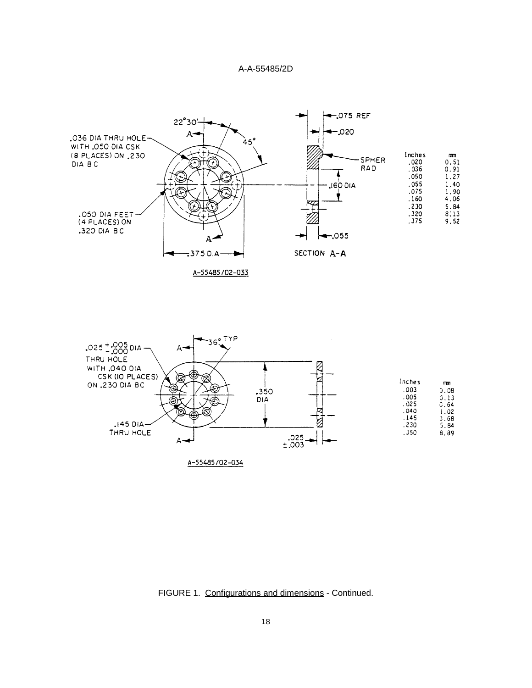

A-55485/02-033



FIGURE 1. Configurations and dimensions - Continued.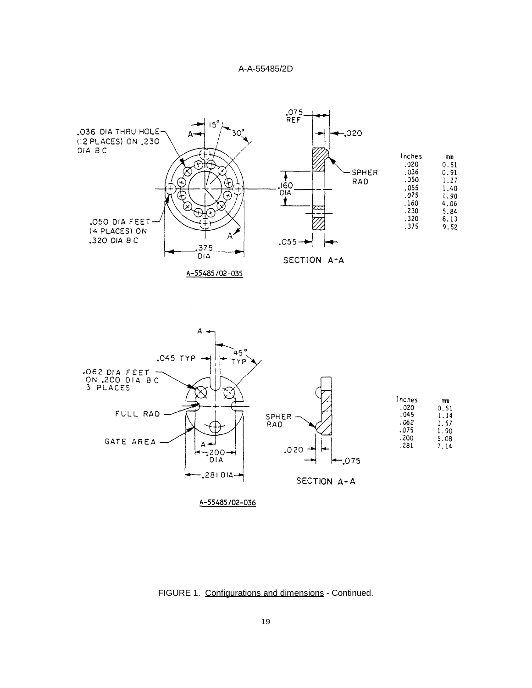



FIGURE 1. Configurations and dimensions - Continued.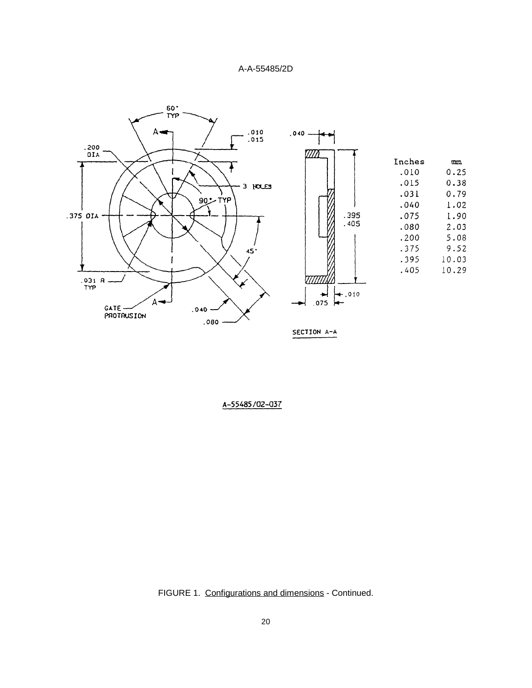

FIGURE 1. Configurations and dimensions - Continued.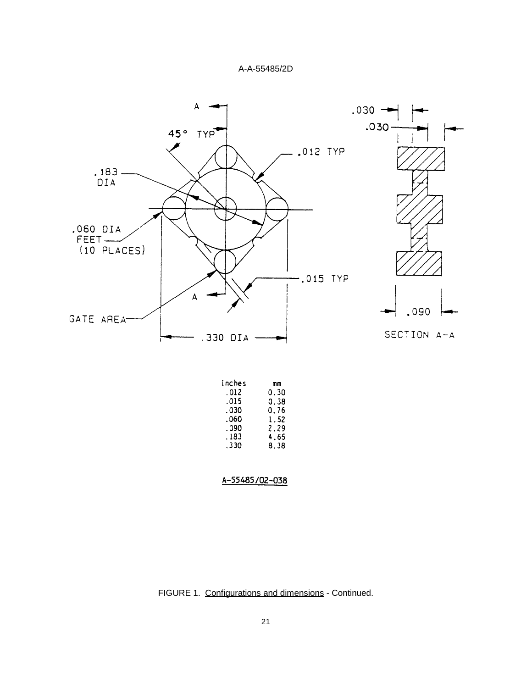



| ruches | mm   |
|--------|------|
| . 012  | 0.30 |
| .015   | 0.38 |
| . 030  | 0.76 |
| .060   | 1.52 |
| .090   | 2.29 |
| . 183  | 4.65 |
| .330   | 8.38 |
|        |      |
|        |      |
|        |      |



FIGURE 1. Configurations and dimensions - Continued.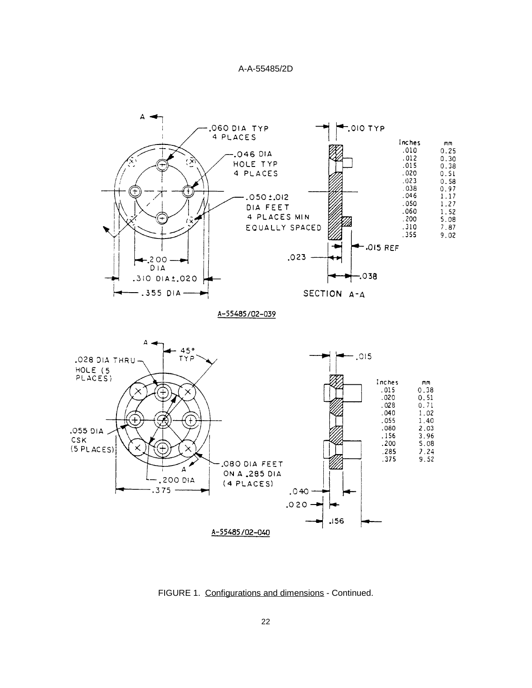

FIGURE 1. Configurations and dimensions - Continued.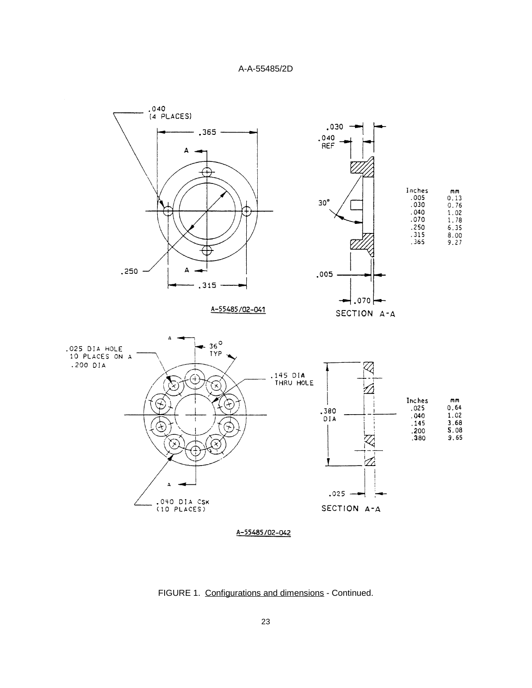

FIGURE 1. Configurations and dimensions - Continued.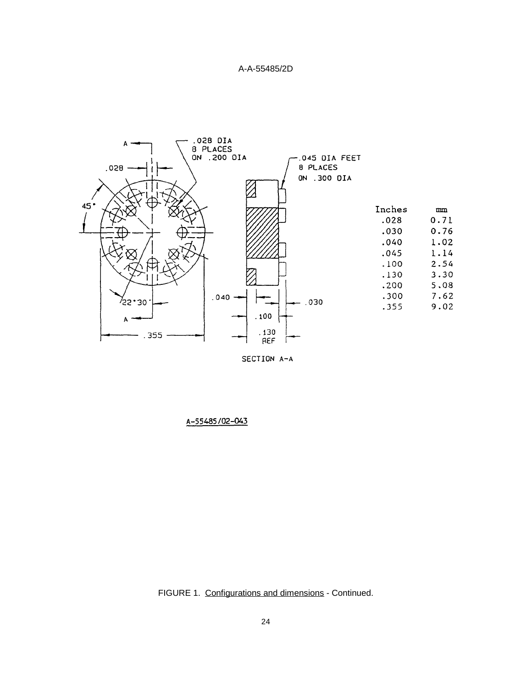

SECTION A-A

FIGURE 1. Configurations and dimensions - Continued.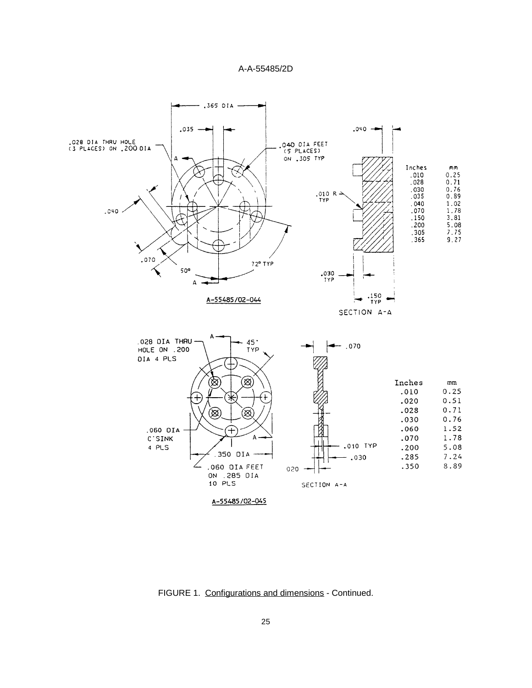

FIGURE 1. Configurations and dimensions - Continued.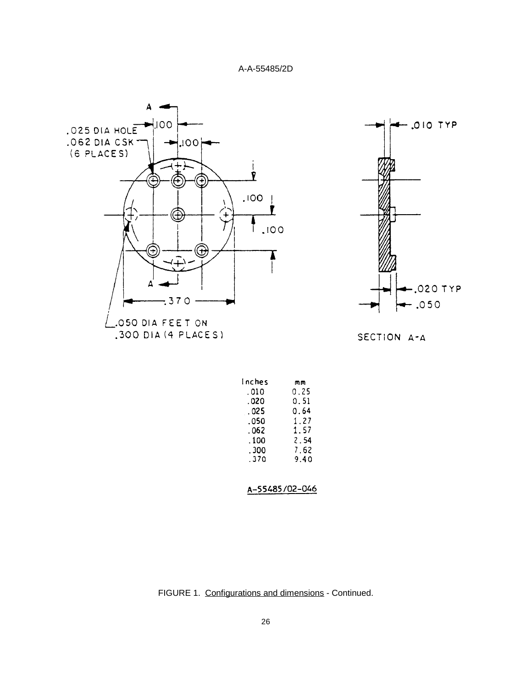



SECTION A-A

| Inches | mm   |
|--------|------|
| .010   | 0.25 |
| . 020  | 0.51 |
| .025   | 0.64 |
| .050   | 1.27 |
| .062   | 1.57 |
| . 100  | 2.54 |
| . 300  | 7.62 |
| .370   | 9.40 |
|        |      |

FIGURE 1. Configurations and dimensions - Continued.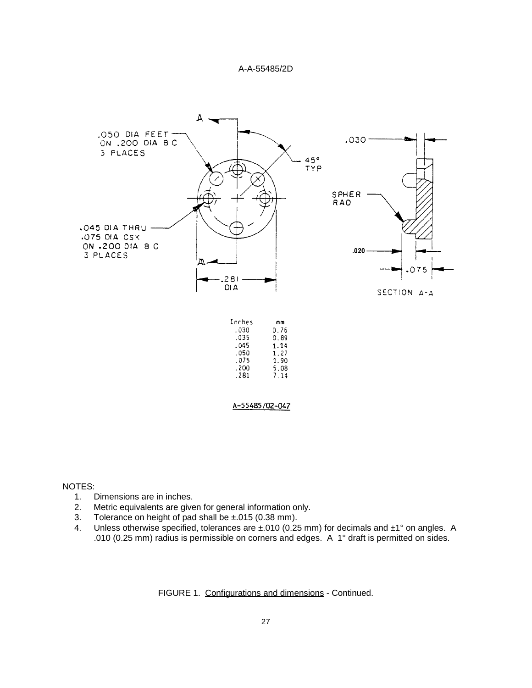

#### NOTES:

- 1. Dimensions are in inches.
- 2. Metric equivalents are given for general information only.
- 3. Tolerance on height of pad shall be ±.015 (0.38 mm).
- 4. Unless otherwise specified, tolerances are  $\pm$ .010 (0.25 mm) for decimals and  $\pm$ 1° on angles. A .010 (0.25 mm) radius is permissible on corners and edges. A 1° draft is permitted on sides.

FIGURE 1. Configurations and dimensions - Continued.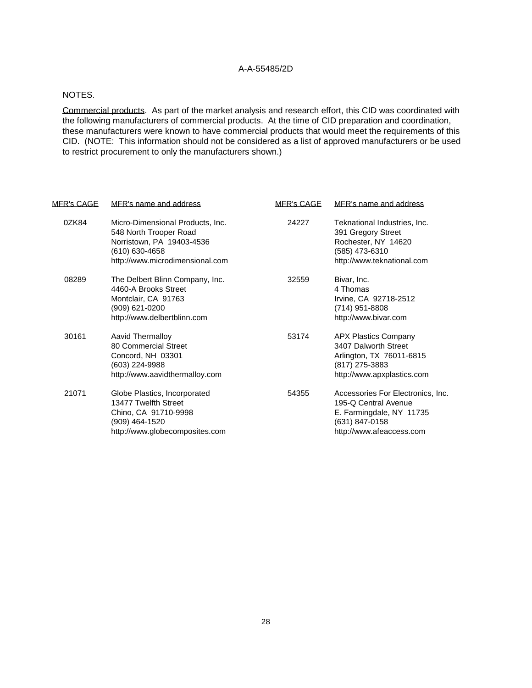#### NOTES.

Commercial products. As part of the market analysis and research effort, this CID was coordinated with the following manufacturers of commercial products. At the time of CID preparation and coordination, these manufacturers were known to have commercial products that would meet the requirements of this CID. (NOTE: This information should not be considered as a list of approved manufacturers or be used to restrict procurement to only the manufacturers shown.)

| <u>MFR's CAGE</u> | MFR's name and address                                                                                                                       | <b>MER's CAGE</b> | MFR's name and address                                                                                                              |
|-------------------|----------------------------------------------------------------------------------------------------------------------------------------------|-------------------|-------------------------------------------------------------------------------------------------------------------------------------|
| 0ZK84             | Micro-Dimensional Products, Inc.<br>548 North Trooper Road<br>Norristown, PA 19403-4536<br>(610) 630-4658<br>http://www.microdimensional.com | 24227             | Teknational Industries, Inc.<br>391 Gregory Street<br>Rochester, NY 14620<br>(585) 473-6310<br>http://www.teknational.com           |
| 08289             | The Delbert Blinn Company, Inc.<br>4460-A Brooks Street<br>Montclair, CA 91763<br>(909) 621-0200<br>http://www.delbertblinn.com              | 32559             | Bivar, Inc.<br>4 Thomas<br>Irvine, CA 92718-2512<br>(714) 951-8808<br>http://www.bivar.com                                          |
| 30161             | Aavid Thermalloy<br>80 Commercial Street<br>Concord, NH 03301<br>(603) 224-9988<br>http://www.aavidthermalloy.com                            | 53174             | <b>APX Plastics Company</b><br>3407 Dalworth Street<br>Arlington, TX 76011-6815<br>(817) 275-3883<br>http://www.apxplastics.com     |
| 21071             | Globe Plastics, Incorporated<br>13477 Twelfth Street<br>Chino, CA 91710-9998<br>(909) 464-1520<br>http://www.globecomposites.com             | 54355             | Accessories For Electronics, Inc.<br>195-Q Central Avenue<br>E. Farmingdale, NY 11735<br>(631) 847-0158<br>http://www.afeaccess.com |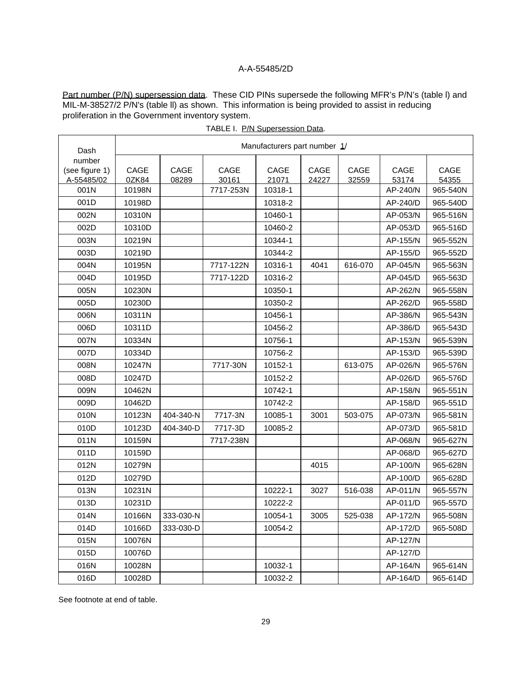Part number (P/N) supersession data. These CID PINs supersede the following MFR's P/N's (table I) and MIL-M-38527/2 P/N's (table ll) as shown. This information is being provided to assist in reducing proliferation in the Government inventory system.

| Dash                     | Manufacturers part number 1/ |           |           |         |       |         |          |          |
|--------------------------|------------------------------|-----------|-----------|---------|-------|---------|----------|----------|
| number<br>(see figure 1) | CAGE                         | CAGE      | CAGE      | CAGE    | CAGE  | CAGE    | CAGE     | CAGE     |
| A-55485/02               | 0ZK84                        | 08289     | 30161     | 21071   | 24227 | 32559   | 53174    | 54355    |
| 001N                     | 10198N                       |           | 7717-253N | 10318-1 |       |         | AP-240/N | 965-540N |
| 001D                     | 10198D                       |           |           | 10318-2 |       |         | AP-240/D | 965-540D |
| 002N                     | 10310N                       |           |           | 10460-1 |       |         | AP-053/N | 965-516N |
| 002D                     | 10310D                       |           |           | 10460-2 |       |         | AP-053/D | 965-516D |
| 003N                     | 10219N                       |           |           | 10344-1 |       |         | AP-155/N | 965-552N |
| 003D                     | 10219D                       |           |           | 10344-2 |       |         | AP-155/D | 965-552D |
| 004N                     | 10195N                       |           | 7717-122N | 10316-1 | 4041  | 616-070 | AP-045/N | 965-563N |
| 004D                     | 10195D                       |           | 7717-122D | 10316-2 |       |         | AP-045/D | 965-563D |
| 005N                     | 10230N                       |           |           | 10350-1 |       |         | AP-262/N | 965-558N |
| 005D                     | 10230D                       |           |           | 10350-2 |       |         | AP-262/D | 965-558D |
| 006N                     | 10311N                       |           |           | 10456-1 |       |         | AP-386/N | 965-543N |
| 006D                     | 10311D                       |           |           | 10456-2 |       |         | AP-386/D | 965-543D |
| 007N                     | 10334N                       |           |           | 10756-1 |       |         | AP-153/N | 965-539N |
| 007D                     | 10334D                       |           |           | 10756-2 |       |         | AP-153/D | 965-539D |
| 008N                     | 10247N                       |           | 7717-30N  | 10152-1 |       | 613-075 | AP-026/N | 965-576N |
| 008D                     | 10247D                       |           |           | 10152-2 |       |         | AP-026/D | 965-576D |
| 009N                     | 10462N                       |           |           | 10742-1 |       |         | AP-158/N | 965-551N |
| 009D                     | 10462D                       |           |           | 10742-2 |       |         | AP-158/D | 965-551D |
| 010N                     | 10123N                       | 404-340-N | 7717-3N   | 10085-1 | 3001  | 503-075 | AP-073/N | 965-581N |
| 010D                     | 10123D                       | 404-340-D | 7717-3D   | 10085-2 |       |         | AP-073/D | 965-581D |
| 011N                     | 10159N                       |           | 7717-238N |         |       |         | AP-068/N | 965-627N |
| 011D                     | 10159D                       |           |           |         |       |         | AP-068/D | 965-627D |
| 012N                     | 10279N                       |           |           |         | 4015  |         | AP-100/N | 965-628N |
| 012D                     | 10279D                       |           |           |         |       |         | AP-100/D | 965-628D |
| 013N                     | 10231N                       |           |           | 10222-1 | 3027  | 516-038 | AP-011/N | 965-557N |
| 013D                     | 10231D                       |           |           | 10222-2 |       |         | AP-011/D | 965-557D |
| 014N                     | 10166N                       | 333-030-N |           | 10054-1 | 3005  | 525-038 | AP-172/N | 965-508N |
| 014D                     | 10166D                       | 333-030-D |           | 10054-2 |       |         | AP-172/D | 965-508D |
| 015N                     | 10076N                       |           |           |         |       |         | AP-127/N |          |
| 015D                     | 10076D                       |           |           |         |       |         | AP-127/D |          |
| 016N                     | 10028N                       |           |           | 10032-1 |       |         | AP-164/N | 965-614N |
| 016D                     | 10028D                       |           |           | 10032-2 |       |         | AP-164/D | 965-614D |

|  | TABLE I. P/N Supersession Data. |
|--|---------------------------------|
|--|---------------------------------|

 $\overline{\mathbf{1}}$ 

See footnote at end of table.

 $\overline{\phantom{a}}$ 

 $\mathbf{r}$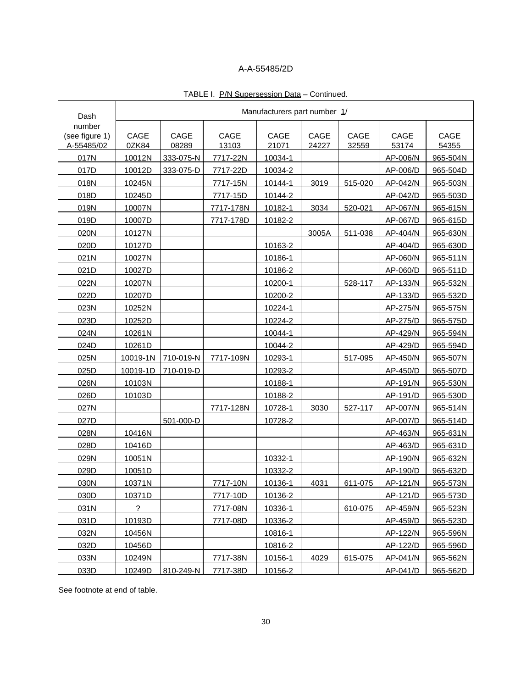| Dash                         |               |               |               | Manufacturers part number 1/ |               |               |               |               |
|------------------------------|---------------|---------------|---------------|------------------------------|---------------|---------------|---------------|---------------|
| number                       |               |               |               |                              |               |               |               |               |
| (see figure 1)<br>A-55485/02 | CAGE<br>0ZK84 | CAGE<br>08289 | CAGE<br>13103 | CAGE<br>21071                | CAGE<br>24227 | CAGE<br>32559 | CAGE<br>53174 | CAGE<br>54355 |
| 017N                         | 10012N        | 333-075-N     | 7717-22N      | 10034-1                      |               |               | AP-006/N      | 965-504N      |
| 017D                         | 10012D        | 333-075-D     | 7717-22D      | 10034-2                      |               |               | AP-006/D      | 965-504D      |
| 018N                         | 10245N        |               | 7717-15N      | 10144-1                      | 3019          | 515-020       | AP-042/N      | 965-503N      |
| 018D                         | 10245D        |               | 7717-15D      | 10144-2                      |               |               | AP-042/D      | 965-503D      |
| 019N                         | 10007N        |               | 7717-178N     | 10182-1                      | 3034          | 520-021       | AP-067/N      | 965-615N      |
| 019D                         | 10007D        |               | 7717-178D     | 10182-2                      |               |               | AP-067/D      | 965-615D      |
| 020N                         | 10127N        |               |               |                              | 3005A         | 511-038       | AP-404/N      | 965-630N      |
| 020D                         | 10127D        |               |               | 10163-2                      |               |               | AP-404/D      | 965-630D      |
| 021N                         | 10027N        |               |               | 10186-1                      |               |               | AP-060/N      | 965-511N      |
| 021D                         | 10027D        |               |               | 10186-2                      |               |               | AP-060/D      | 965-511D      |
| 022N                         | 10207N        |               |               | 10200-1                      |               | 528-117       | AP-133/N      | 965-532N      |
| 022D                         | 10207D        |               |               | 10200-2                      |               |               | AP-133/D      | 965-532D      |
| 023N                         | 10252N        |               |               | 10224-1                      |               |               | AP-275/N      | 965-575N      |
| 023D                         | 10252D        |               |               | 10224-2                      |               |               | AP-275/D      | 965-575D      |
| 024N                         | 10261N        |               |               | 10044-1                      |               |               | AP-429/N      | 965-594N      |
| 024D                         | 10261D        |               |               | 10044-2                      |               |               | AP-429/D      | 965-594D      |
| 025N                         | 10019-1N      | 710-019-N     | 7717-109N     | 10293-1                      |               | 517-095       | AP-450/N      | 965-507N      |
| 025D                         | 10019-1D      | 710-019-D     |               | 10293-2                      |               |               | AP-450/D      | 965-507D      |
| 026N                         | 10103N        |               |               | 10188-1                      |               |               | AP-191/N      | 965-530N      |
| 026D                         | 10103D        |               |               | 10188-2                      |               |               | AP-191/D      | 965-530D      |
| 027N                         |               |               | 7717-128N     | 10728-1                      | 3030          | 527-117       | AP-007/N      | 965-514N      |
| 027D                         |               | 501-000-D     |               | 10728-2                      |               |               | AP-007/D      | 965-514D      |
| 028N                         | 10416N        |               |               |                              |               |               | AP-463/N      | 965-631N      |
| 028D                         | 10416D        |               |               |                              |               |               | AP-463/D      | 965-631D      |
| 029N                         | 10051N        |               |               | 10332-1                      |               |               | AP-190/N      | 965-632N      |
| 029D                         | 10051D        |               |               | 10332-2                      |               |               | AP-190/D      | 965-632D      |
| 030N                         | 10371N        |               | 7717-10N      | 10136-1                      | 4031          | 611-075       | AP-121/N      | 965-573N      |
| 030D                         | 10371D        |               | 7717-10D      | 10136-2                      |               |               | AP-121/D      | 965-573D      |
| 031N                         | ?             |               | 7717-08N      | 10336-1                      |               | 610-075       | AP-459/N      | 965-523N      |
| 031D                         | 10193D        |               | 7717-08D      | 10336-2                      |               |               | AP-459/D      | 965-523D      |
| 032N                         | 10456N        |               |               | 10816-1                      |               |               | AP-122/N      | 965-596N      |
| 032D                         | 10456D        |               |               | 10816-2                      |               |               | AP-122/D      | 965-596D      |
| 033N                         | 10249N        |               | 7717-38N      | 10156-1                      | 4029          | 615-075       | AP-041/N      | 965-562N      |
| 033D                         | 10249D        | 810-249-N     | 7717-38D      | 10156-2                      |               |               | AP-041/D      | 965-562D      |

# TABLE I. P/N Supersession Data - Continued.

See footnote at end of table.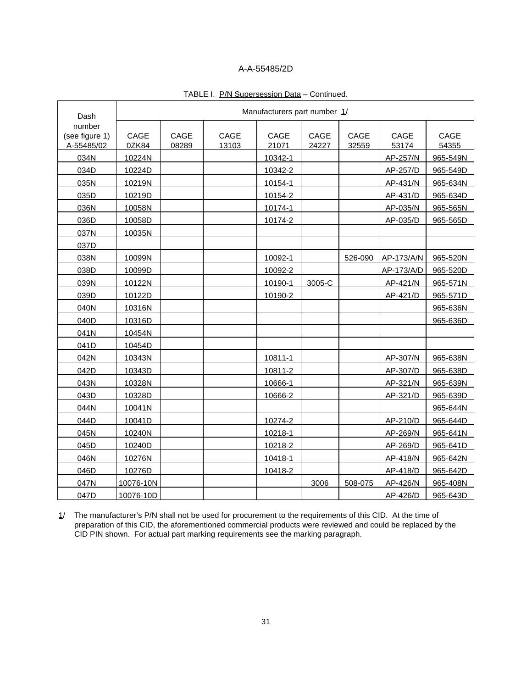| Dash                                   |               |               |               | Manufacturers part number 1/ |               |               |               |               |
|----------------------------------------|---------------|---------------|---------------|------------------------------|---------------|---------------|---------------|---------------|
| number<br>(see figure 1)<br>A-55485/02 | CAGE<br>0ZK84 | CAGE<br>08289 | CAGE<br>13103 | CAGE<br>21071                | CAGE<br>24227 | CAGE<br>32559 | CAGE<br>53174 | CAGE<br>54355 |
| 034N                                   | 10224N        |               |               | 10342-1                      |               |               | AP-257/N      | 965-549N      |
| 034D                                   | 10224D        |               |               | 10342-2                      |               |               | AP-257/D      | 965-549D      |
| 035N                                   | 10219N        |               |               | 10154-1                      |               |               | AP-431/N      | 965-634N      |
| 035D                                   | 10219D        |               |               | 10154-2                      |               |               | AP-431/D      | 965-634D      |
| 036N                                   | 10058N        |               |               | 10174-1                      |               |               | AP-035/N      | 965-565N      |
| 036D                                   | 10058D        |               |               | 10174-2                      |               |               | AP-035/D      | 965-565D      |
| 037N                                   | 10035N        |               |               |                              |               |               |               |               |
| 037D                                   |               |               |               |                              |               |               |               |               |
| 038N                                   | 10099N        |               |               | 10092-1                      |               | 526-090       | AP-173/A/N    | 965-520N      |
| 038D                                   | 10099D        |               |               | 10092-2                      |               |               | AP-173/A/D    | 965-520D      |
| 039N                                   | 10122N        |               |               | 10190-1                      | 3005-C        |               | AP-421/N      | 965-571N      |
| 039D                                   | 10122D        |               |               | 10190-2                      |               |               | AP-421/D      | 965-571D      |
| 040N                                   | 10316N        |               |               |                              |               |               |               | 965-636N      |
| 040D                                   | 10316D        |               |               |                              |               |               |               | 965-636D      |
| 041N                                   | 10454N        |               |               |                              |               |               |               |               |
| 041D                                   | 10454D        |               |               |                              |               |               |               |               |
| 042N                                   | 10343N        |               |               | 10811-1                      |               |               | AP-307/N      | 965-638N      |
| 042D                                   | 10343D        |               |               | 10811-2                      |               |               | AP-307/D      | 965-638D      |
| 043N                                   | 10328N        |               |               | 10666-1                      |               |               | AP-321/N      | 965-639N      |
| 043D                                   | 10328D        |               |               | 10666-2                      |               |               | AP-321/D      | 965-639D      |
| 044N                                   | 10041N        |               |               |                              |               |               |               | 965-644N      |
| 044D                                   | 10041D        |               |               | 10274-2                      |               |               | AP-210/D      | 965-644D      |
| 045N                                   | 10240N        |               |               | 10218-1                      |               |               | AP-269/N      | 965-641N      |
| 045D                                   | 10240D        |               |               | 10218-2                      |               |               | AP-269/D      | 965-641D      |
| 046N                                   | 10276N        |               |               | 10418-1                      |               |               | AP-418/N      | 965-642N      |
| 046D                                   | 10276D        |               |               | 10418-2                      |               |               | AP-418/D      | 965-642D      |
| 047N                                   | 10076-10N     |               |               |                              | 3006          | 508-075       | AP-426/N      | 965-408N      |
| 047D                                   | 10076-10D     |               |               |                              |               |               | AP-426/D      | 965-643D      |

#### TABLE I. P/N Supersession Data - Continued.

1/ The manufacturer's P/N shall not be used for procurement to the requirements of this CID. At the time of preparation of this CID, the aforementioned commercial products were reviewed and could be replaced by the CID PIN shown. For actual part marking requirements see the marking paragraph.